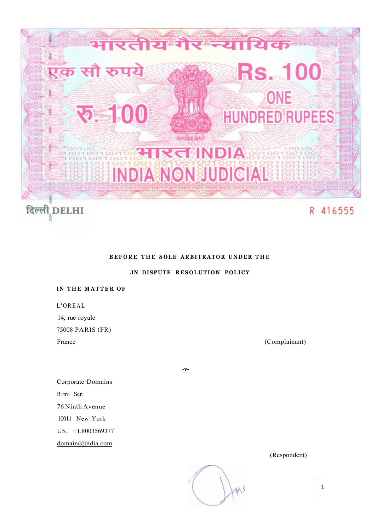

# **BEFORE THE SOLE ARBITRATOR UNDER THE**

**.IN DISPUTE RESOLUTION POLICY** 

**-v-**

# **IN THE MATTER OF**

L'OREA L

14, rue royale

75008 PARIS (FR)

France (Complainant)

Corporate Domains Rimi Sen 76 Ninth Avenue 10011 New York US, +1.8003569377 [domain@india.com](mailto:domain@india.com) 

(Respondent)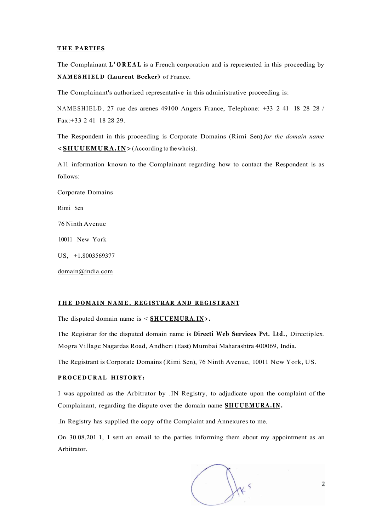#### **T H E PARTIES**

The Complainant **L'OREA L** is a French corporation and is represented in this proceeding by **NAMESHIEL D (Laurent Becker)** of France.

The Complainant's authorized representative in this administrative proceeding is:

NAMESHIELD, 27 rue des arenes 49100 Angers France, Telephone: +33 2 41 18 28 28 / Fax:+33 2 41 18 28 29.

The Respondent in this proceeding is Corporate Domains (Rimi Sen) *for the domain name*  **<SHUUEMURA.IN>** (According to the whois).

All information known to the Complainant regarding how to contact the Respondent is as follows:

Corporate Domains Rimi Sen 76 Ninth Avenue 10011 New York US, +1.8003569377

[domain@india.com](mailto:domain@india.com) 

# **T H E DOMAI N NAME , REGISTRA R AN D REGISTRAN T**

The disputed domain name is < **SHUUEMURA.IN>.** 

The Registrar for the disputed domain name is **Directi Web Services Pvt. Ltd.,** Directiplex. Mogra Village Nagardas Road, Andheri (East) Mumbai Maharashtra 400069, India.

The Registrant is Corporate Domains (Rimi Sen), 76 Ninth Avenue, 10011 New York, US.

# **PROCEDURAL HISTORY:**

I was appointed as the Arbitrator by .IN Registry, to adjudicate upon the complaint of the Complainant, regarding the dispute over the domain name **SHUUEMURA.IN .** 

.In Registry has supplied the copy of the Complaint and Annexures to me.

On 30.08.201 1, I sent an email to the parties informing them about my appointment as an Arbitrator.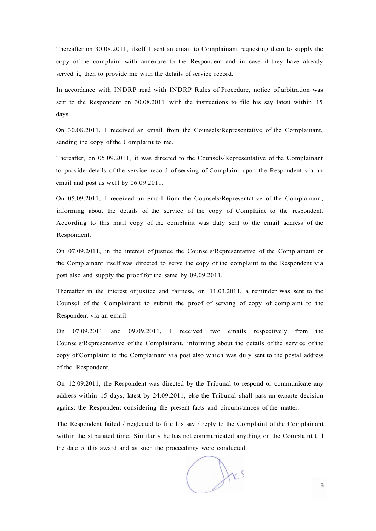Thereafter on 30.08.2011, itself 1 sent an email to Complainant requesting them to supply the copy of the complaint with annexure to the Respondent and in case if they have already served it, then to provide me with the details of service record.

In accordance with INDRP read with INDRP Rules of Procedure, notice of arbitration was sent to the Respondent on 30.08.2011 with the instructions to file his say latest within 15 days.

On 30.08.2011, I received an email from the Counsels/Representative of the Complainant, sending the copy of the Complaint to me.

Thereafter, on 05.09.2011, it was directed to the Counsels/Representative of the Complainant to provide details of the service record of serving of Complaint upon the Respondent via an email and post as well by 06.09.2011.

On 05.09.2011, I received an email from the Counsels/Representative of the Complainant, informing about the details of the service of the copy of Complaint to the respondent. According to this mail copy of the complaint was duly sent to the email address of the Respondent.

On 07.09.2011, in the interest of justice the Counsels/Representative of the Complainant or the Complainant itself was directed to serve the copy of the complaint to the Respondent via post also and supply the proof for the same by 09.09.2011.

Thereafter in the interest of justice and fairness, on 11.03.2011, a reminder was sent to the Counsel of the Complainant to submit the proof of serving of copy of complaint to the Respondent via an email.

On 07.09.2011 and 09.09.2011, I received two emails respectively from the Counsels/Representative of the Complainant, informing about the details of the service of the copy of Complaint to the Complainant via post also which was duly sent to the postal address of the Respondent.

On 12.09.2011, the Respondent was directed by the Tribunal to respond or communicate any address within 15 days, latest by 24.09.2011, else the Tribunal shall pass an exparte decision against the Respondent considering the present facts and circumstances of the matter.

The Respondent failed / neglected to file his say / reply to the Complaint of the Complainant within the stipulated time. Similarly he has not communicated anything on the Complaint till the date of this award and as such the proceedings were conducted.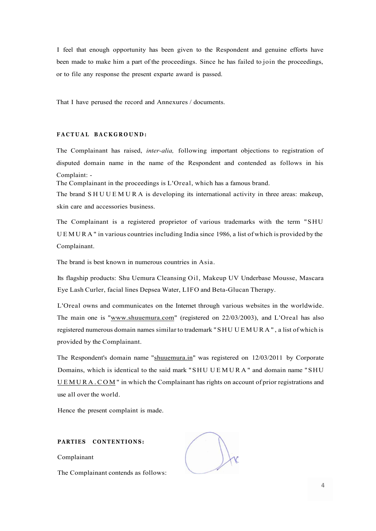I feel that enough opportunity has been given to the Respondent and genuine efforts have been made to make him a part of the proceedings. Since he has failed to join the proceedings, or to file any response the present exparte award is passed.

That I have perused the record and Annexures / documents.

## $FACTUAL$  **BACKGROUND**:

The Complainant has raised, *inter-alia,* following important objections to registration of disputed domain name in the name of the Respondent and contended as follows in his Complaint: -

The Complainant in the proceedings is L'Oreal, which has a famous brand.

The brand SHUUEMURA is developing its international activity in three areas: makeup, skin care and accessories business.

The Complainant is a registered proprietor of various trademarks with the term "SHU UEMURA " in various countries including India since 1986, a list of which is provided by the Complainant.

The brand is best known in numerous countries in Asia.

Its flagship products: Shu Uemura Cleansing Oil, Makeup UV Underbase Mousse, Mascara Eye Lash Curler, facial lines Depsea Water, LIFO and Beta-Glucan Therapy.

L'Oreal owns and communicates on the Internet through various websites in the worldwide. The main one is "[www.shuuemura.com"](http://www.shuuemura.com) (registered on 22/03/2003), and L'Oreal has also registered numerous domain names similar to trademark "SHU UEMURA" , a list of which is provided by the Complainant.

The Respondent's domain name "shuuemura.in" was registered on 12/03/2011 by Corporate Domains, which is identical to the said mark "SHU UEMURA " and domain name "SHU [UEMURA.COM](http://UEMURA.COM) " in which the Complainant has rights on account of prior registrations and use all over the world.

Hence the present complaint is made.

## **PARTIES CONTENTIONS:**

Complainant

The Complainant contends as follows: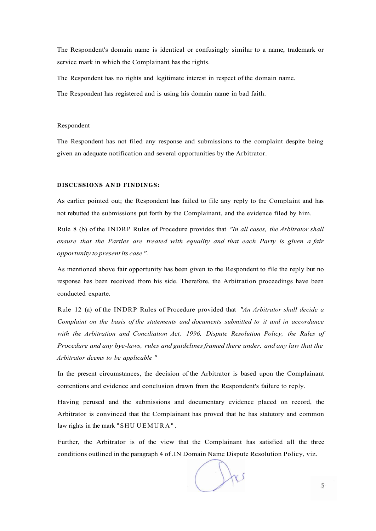The Respondent's domain name is identical or confusingly similar to a name, trademark or service mark in which the Complainant has the rights.

The Respondent has no rights and legitimate interest in respect of the domain name.

The Respondent has registered and is using his domain name in bad faith.

#### Respondent

The Respondent has not filed any response and submissions to the complaint despite being given an adequate notification and several opportunities by the Arbitrator.

## **DISCUSSIONS AND FINDINGS:**

As earlier pointed out; the Respondent has failed to file any reply to the Complaint and has not rebutted the submissions put forth by the Complainant, and the evidence filed by him.

Rule 8 (b) of the INDRP Rules of Procedure provides that *"In all cases, the Arbitrator shall ensure that the Parties are treated with equality and that each Party is given a fair opportunity to present its case ".* 

As mentioned above fair opportunity has been given to the Respondent to file the reply but no response has been received from his side. Therefore, the Arbitration proceedings have been conducted exparte.

Rule 12 (a) of the INDRP Rules of Procedure provided that *"An Arbitrator shall decide a Complaint on the basis of the statements and documents submitted to it and in accordance with the Arbitration and Conciliation Act, 1996, Dispute Resolution Policy, the Rules of Procedure and any bye-laws, rules and guidelines framed there under, and any law that the Arbitrator deems to be applicable "* 

In the present circumstances, the decision of the Arbitrator is based upon the Complainant contentions and evidence and conclusion drawn from the Respondent's failure to reply.

Having perused and the submissions and documentary evidence placed on record, the Arbitrator is convinced that the Complainant has proved that he has statutory and common law rights in the mark "SHU UEMURA" .

Further, the Arbitrator is of the view that the Complainant has satisfied all the three conditions outlined in the paragraph 4 of .IN Domain Name Dispute Resolution Policy, viz.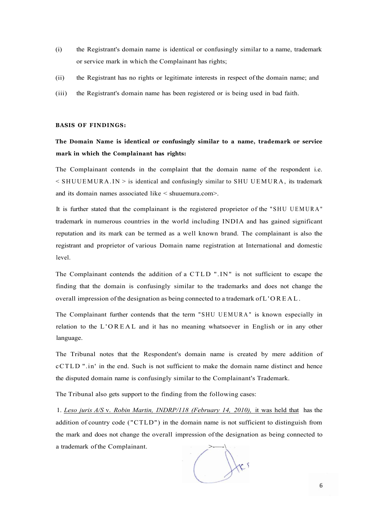- (i) the Registrant's domain name is identical or confusingly similar to a name, trademark or service mark in which the Complainant has rights;
- (ii) the Registrant has no rights or legitimate interests in respect of the domain name; and
- (iii) the Registrant's domain name has been registered or is being used in bad faith.

#### **BASIS OF FINDINGS:**

# **The Domain Name is identical or confusingly similar to a name, trademark or service mark in which the Complainant has rights:**

The Complainant contends in the complaint that the domain name of the respondent i.e.  $\leq$  SHUUEMURA.IN  $>$  is identical and confusingly similar to SHU UEMURA, its trademark and its domain names associated like < shuuemura.com>.

It is further stated that the complainant is the registered proprietor of the "SHU UEMURA " trademark in numerous countries in the world including INDIA and has gained significant reputation and its mark can be termed as a well known brand. The complainant is also the registrant and proprietor of various Domain name registration at International and domestic level.

The Complainant contends the addition of a CTLD ".IN" is not sufficient to escape the finding that the domain is confusingly similar to the trademarks and does not change the overall impression of the designation as being connected to a trademark of L'OREAL .

The Complainant further contends that the term "SHU UEMURA " is known especially in relation to the L'OREA L and it has no meaning whatsoever in English or in any other language.

The Tribunal notes that the Respondent's domain name is created by mere addition of cCTLD ".in' in the end. Such is not sufficient to make the domain name distinct and hence the disputed domain name is confusingly similar to the Complainant's Trademark.

The Tribunal also gets support to the finding from the following cases:

1. *Leso juris A/S* v. *Robin Martin, INDRP/118 (February 14, 2010),* it was held that has the addition of country code ("CTLD") in the domain name is not sufficient to distinguish from the mark and does not change the overall impression of the designation as being connected to a trademark of the Complainant.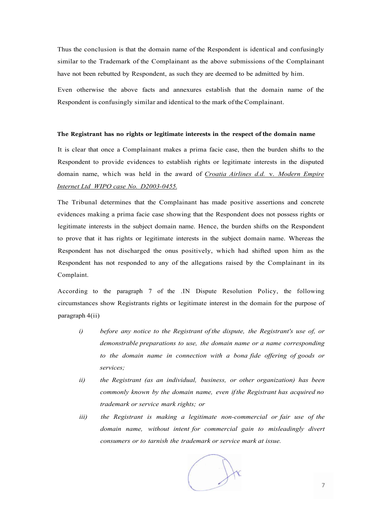Thus the conclusion is that the domain name of the Respondent is identical and confusingly similar to the Trademark of the Complainant as the above submissions of the Complainant have not been rebutted by Respondent, as such they are deemed to be admitted by him.

Even otherwise the above facts and annexures establish that the domain name of the Respondent is confusingly similar and identical to the mark of the Complainant.

#### **The Registrant has no rights or legitimate interests in the respect of the domain name**

It is clear that once a Complainant makes a prima facie case, then the burden shifts to the Respondent to provide evidences to establish rights or legitimate interests in the disputed domain name, which was held in the award of *Croatia Airlines d.d.* v. *Modern Empire Internet Ltd WIPO case No. D2003-0455.* 

The Tribunal determines that the Complainant has made positive assertions and concrete evidences making a prima facie case showing that the Respondent does not possess rights or legitimate interests in the subject domain name. Hence, the burden shifts on the Respondent to prove that it has rights or legitimate interests in the subject domain name. Whereas the Respondent has not discharged the onus positively, which had shifted upon him as the Respondent has not responded to any of the allegations raised by the Complainant in its Complaint.

According to the paragraph 7 of the .IN Dispute Resolution Policy, the following circumstances show Registrants rights or legitimate interest in the domain for the purpose of paragraph 4(ii)

- *i) before any notice to the Registrant of the dispute, the Registrant's use of, or demonstrable preparations to use, the domain name or a name corresponding to the domain name in connection with a bona fide offering of goods or services;*
- *ii) the Registrant (as an individual, business, or other organization) has been commonly known by the domain name, even if the Registrant has acquired no trademark or service mark rights; or*
- *iii*) the Registrant is making a legitimate non-commercial or fair use of the *domain name, without intent for commercial gain to misleadingly divert consumers or to tarnish the trademark or service mark at issue.*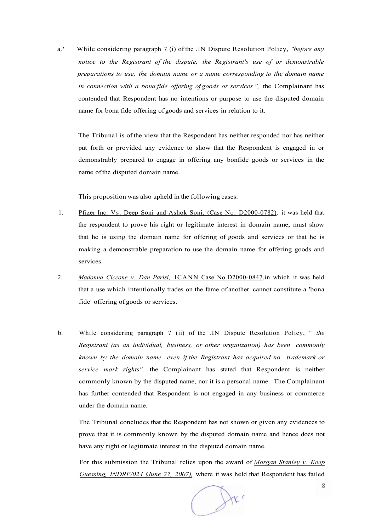a. ' While considering paragraph 7 (i) of the .IN Dispute Resolution Policy, *"before any notice to the Registrant of the dispute, the Registrant's use of or demonstrable preparations to use, the domain name or a name corresponding to the domain name in connection with a bona fide offering of goods or services ",* the Complainant has contended that Respondent has no intentions or purpose to use the disputed domain name for bona fide offering of goods and services in relation to it.

The Tribunal is of the view that the Respondent has neither responded nor has neither put forth or provided any evidence to show that the Respondent is engaged in or demonstrably prepared to engage in offering any bonfide goods or services in the name of the disputed domain name.

This proposition was also upheld in the following cases:

- 1. Pfizer Inc. Vs. Deep Soni and Ashok Soni. (Case No. D2000-0782). it was held that the respondent to prove his right or legitimate interest in domain name, must show that he is using the domain name for offering of goods and services or that he is making a demonstrable preparation to use the domain name for offering goods and services.
- *2. Madonna Ciccone v. Dan Parisi,* ICANN Case No.D2000-0847.in which it was held that a use which intentionally trades on the fame of another cannot constitute a 'bona fide' offering of goods or services.
- b. While considering paragraph 7 (ii) of the .IN Dispute Resolution Policy, " *the Registrant (as an individual, business, or other organization) has been commonly known by the domain name, even if the Registrant has acquired no trademark or service mark rights",* the Complainant has stated that Respondent is neither commonly known by the disputed name, nor it is a personal name. The Complainant has further contended that Respondent is not engaged in any business or commerce under the domain name.

The Tribunal concludes that the Respondent has not shown or given any evidences to prove that it is commonly known by the disputed domain name and hence does not have any right or legitimate interest in the disputed domain name.

For this submission the Tribunal relies upon the award of *Morgan Stanley v. Keep Guessing, INDRP/024 (June 27, 2007),* where it was held that Respondent has failed

 $\int$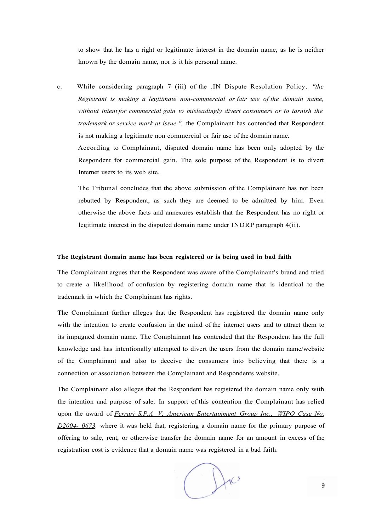to show that he has a right or legitimate interest in the domain name, as he is neither known by the domain name, nor is it his personal name.

c. While considering paragraph 7 (iii) of the .IN Dispute Resolution Policy, *"the Registrant is making a legitimate non-commercial or fair use of the domain name, without intent for commercial gain to misleadingly divert consumers or to tarnish the trademark or service mark at issue ",* the Complainant has contended that Respondent is not making a legitimate non commercial or fair use of the domain name. According to Complainant, disputed domain name has been only adopted by the Respondent for commercial gain. The sole purpose of the Respondent is to divert Internet users to its web site.

The Tribunal concludes that the above submission of the Complainant has not been rebutted by Respondent, as such they are deemed to be admitted by him. Even otherwise the above facts and annexures establish that the Respondent has no right or legitimate interest in the disputed domain name under INDRP paragraph 4(ii).

## **The Registrant domain name has been registered or is being used in bad faith**

The Complainant argues that the Respondent was aware of the Complainant's brand and tried to create a likelihood of confusion by registering domain name that is identical to the trademark in which the Complainant has rights.

The Complainant further alleges that the Respondent has registered the domain name only with the intention to create confusion in the mind of the internet users and to attract them to its impugned domain name. The Complainant has contended that the Respondent has the full knowledge and has intentionally attempted to divert the users from the domain name/website of the Complainant and also to deceive the consumers into believing that there is a connection or association between the Complainant and Respondents website.

The Complainant also alleges that the Respondent has registered the domain name only with the intention and purpose of sale. In support of this contention the Complainant has relied upon the award of *Ferrari S.P.A V. American Entertainment Group Inc., WIPO Case No. D2004- 0673,* where it was held that, registering a domain name for the primary purpose of offering to sale, rent, or otherwise transfer the domain name for an amount in excess of the registration cost is evidence that a domain name was registered in a bad faith.

 $H_{c}$